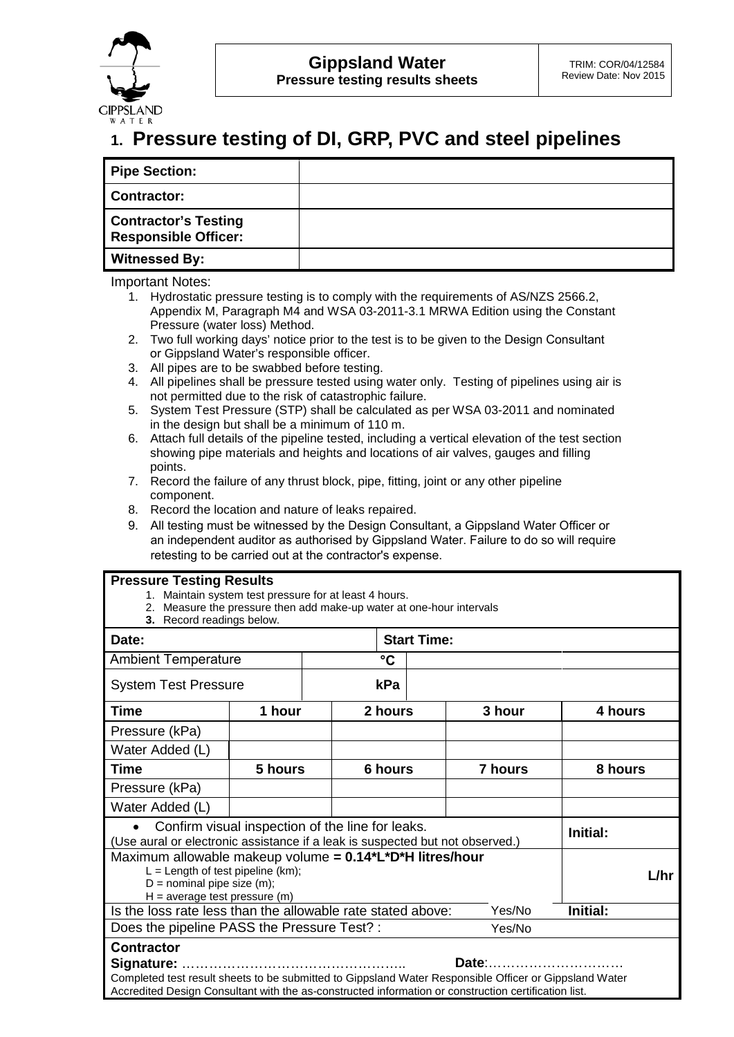

## **1. Pressure testing of DI, GRP, PVC and steel pipelines**

| <b>Pipe Section:</b>                                       |  |
|------------------------------------------------------------|--|
| <b>Contractor:</b>                                         |  |
| <b>Contractor's Testing</b><br><b>Responsible Officer:</b> |  |
| <b>Witnessed By:</b>                                       |  |

Important Notes:

- 1. Hydrostatic pressure testing is to comply with the requirements of AS/NZS 2566.2, Appendix M, Paragraph M4 and WSA 03-2011-3.1 MRWA Edition using the Constant Pressure (water loss) Method.
- 2. Two full working days' notice prior to the test is to be given to the Design Consultant or Gippsland Water's responsible officer.
- 3. All pipes are to be swabbed before testing.
- 4. All pipelines shall be pressure tested using water only. Testing of pipelines using air is not permitted due to the risk of catastrophic failure.
- 5. System Test Pressure (STP) shall be calculated as per WSA 03-2011 and nominated in the design but shall be a minimum of 110 m.
- 6. Attach full details of the pipeline tested, including a vertical elevation of the test section showing pipe materials and heights and locations of air valves, gauges and filling points.
- 7. Record the failure of any thrust block, pipe, fitting, joint or any other pipeline component.
- 8. Record the location and nature of leaks repaired.
- 9. All testing must be witnessed by the Design Consultant, a Gippsland Water Officer or an independent auditor as authorised by Gippsland Water. Failure to do so will require retesting to be carried out at the contractor's expense.

## **Pressure Testing Results**

- 1. Maintain system test pressure for at least 4 hours.
- 2. Measure the pressure then add make-up water at one-hour intervals
- **3.** Record readings below.

| <b>3.</b> Record readings below.                                                                                                                                                                               |          |     |                    |                |         |  |  |  |
|----------------------------------------------------------------------------------------------------------------------------------------------------------------------------------------------------------------|----------|-----|--------------------|----------------|---------|--|--|--|
| Date:                                                                                                                                                                                                          |          |     | <b>Start Time:</b> |                |         |  |  |  |
| <b>Ambient Temperature</b>                                                                                                                                                                                     | °C       |     |                    |                |         |  |  |  |
| <b>System Test Pressure</b>                                                                                                                                                                                    |          | kPa |                    |                |         |  |  |  |
| <b>Time</b>                                                                                                                                                                                                    | 1 hour   |     | 2 hours            | 3 hour         | 4 hours |  |  |  |
| Pressure (kPa)                                                                                                                                                                                                 |          |     |                    |                |         |  |  |  |
| Water Added (L)                                                                                                                                                                                                |          |     |                    |                |         |  |  |  |
| <b>Time</b>                                                                                                                                                                                                    | 5 hours  |     | 6 hours            | <b>7 hours</b> | 8 hours |  |  |  |
| Pressure (kPa)                                                                                                                                                                                                 |          |     |                    |                |         |  |  |  |
| Water Added (L)                                                                                                                                                                                                |          |     |                    |                |         |  |  |  |
| Confirm visual inspection of the line for leaks.<br>(Use aural or electronic assistance if a leak is suspected but not observed.)                                                                              | Initial: |     |                    |                |         |  |  |  |
| Maximum allowable makeup volume = 0.14*L*D*H litres/hour<br>$L =$ Length of test pipeline (km);<br>$D =$ nominal pipe size (m);<br>$H = average test pressure (m)$                                             | $L$ /hr  |     |                    |                |         |  |  |  |
| Is the loss rate less than the allowable rate stated above:                                                                                                                                                    | Initial: |     |                    |                |         |  |  |  |
| Does the pipeline PASS the Pressure Test? :<br>Yes/No                                                                                                                                                          |          |     |                    |                |         |  |  |  |
| <b>Contractor</b>                                                                                                                                                                                              |          |     |                    |                |         |  |  |  |
| Date:<br>Signature:                                                                                                                                                                                            |          |     |                    |                |         |  |  |  |
| Completed test result sheets to be submitted to Gippsland Water Responsible Officer or Gippsland Water<br>Accredited Design Consultant with the as-constructed information or construction certification list. |          |     |                    |                |         |  |  |  |